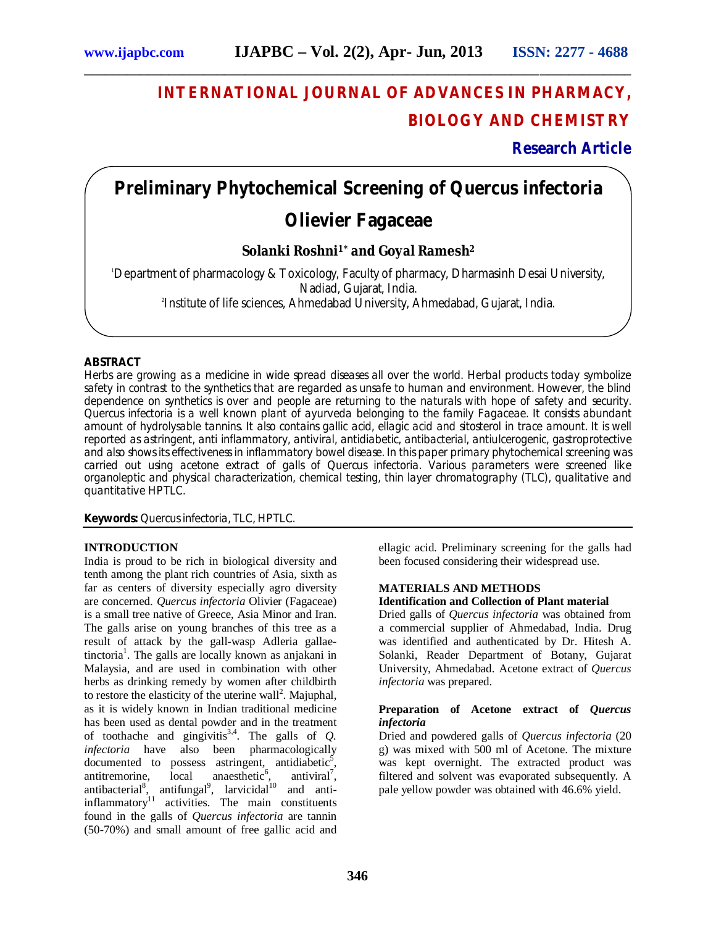# **INTERNATIONAL JOURNAL OF ADVANCES IN PHARMACY, BIOLOGY AND CHEMISTRY**

# **Research Article**

# **Preliminary Phytochemical Screening of** *Quercus infectoria*

**\_\_\_\_\_\_\_\_\_\_\_\_\_\_\_\_\_\_\_\_\_\_\_\_\_\_\_\_\_\_\_\_\_\_\_\_\_\_\_\_\_\_\_\_\_\_\_\_\_\_\_\_\_\_\_\_\_\_\_\_\_\_\_\_\_\_\_\_\_\_\_\_\_\_\_\_\_\_**

# **Olievier Fagaceae**

# **Solanki Roshni1\* and Goyal Ramesh<sup>2</sup>**

<sup>1</sup>Department of pharmacology & Toxicology, Faculty of pharmacy, Dharmasinh Desai University, Nadiad, Gujarat, India.

2 Institute of life sciences, Ahmedabad University, Ahmedabad, Gujarat, India.

# **ABSTRACT**

Herbs are growing as a medicine in wide spread diseases all over the world. Herbal products today symbolize safety in contrast to the synthetics that are regarded as unsafe to human and environment. However, the blind dependence on synthetics is over and people are returning to the naturals with hope of safety and security. *Quercus infectoria* is a well known plant of ayurveda belonging to the family Fagaceae. It consists abundant amount of hydrolysable tannins. It also contains gallic acid, ellagic acid and sitosterol in trace amount. It is well reported as astringent, anti inflammatory, antiviral, antidiabetic, antibacterial, antiulcerogenic, gastroprotective and also shows its effectiveness in inflammatory bowel disease. In this paper primary phytochemical screening was carried out using acetone extract of galls of *Quercus infectoria*. Various parameters were screened like organoleptic and physical characterization, chemical testing, thin layer chromatography (TLC), qualitative and quantitative HPTLC.

**Keywords:** *Quercus infectoria*, TLC, HPTLC.

# **INTRODUCTION**

India is proud to be rich in biological diversity and tenth among the plant rich countries of Asia, sixth as far as centers of diversity especially agro diversity are concerned. *Quercus infectoria* Olivier (Fagaceae) is a small tree native of Greece, Asia Minor and Iran. The galls arise on young branches of this tree as a result of attack by the gall-wasp Adleria gallaetinctoria<sup>1</sup>. The galls are locally known as anjakani in Malaysia, and are used in combination with other herbs as drinking remedy by women after childbirth to restore the elasticity of the uterine wall<sup>2</sup>. Majuphal, as it is widely known in Indian traditional medicine has been used as dental powder and in the treatment of toothache and gingivitis<sup>3,4</sup>. The galls of  $Q$ . *infectoria* have also been pharmacologically documented to possess astringent, antidiabetic<sup>5</sup>, antitremorine,  $local$  anaesthetic<sup>6</sup>,  $,$  antiviral<sup>7</sup>, antibacterial<sup>8</sup>, antifungal<sup>9</sup>, larvicidal<sup>10</sup> and antiinflammatory<sup>11</sup> activities. The main constituents found in the galls of *Quercus infectoria* are tannin (50-70%) and small amount of free gallic acid and

ellagic acid. Preliminary screening for the galls had been focused considering their widespread use.

# **MATERIALS AND METHODS**

# **Identification and Collection of Plant material**

Dried galls of *Quercus infectoria* was obtained from a commercial supplier of Ahmedabad, India. Drug was identified and authenticated by Dr. Hitesh A. Solanki, Reader Department of Botany, Gujarat University, Ahmedabad. Acetone extract of *Quercus infectoria* was prepared.

### **Preparation of Acetone extract of** *Quercus infectoria*

Dried and powdered galls of *Quercus infectoria* (20 g) was mixed with 500 ml of Acetone. The mixture was kept overnight. The extracted product was filtered and solvent was evaporated subsequently. A pale yellow powder was obtained with 46.6% yield.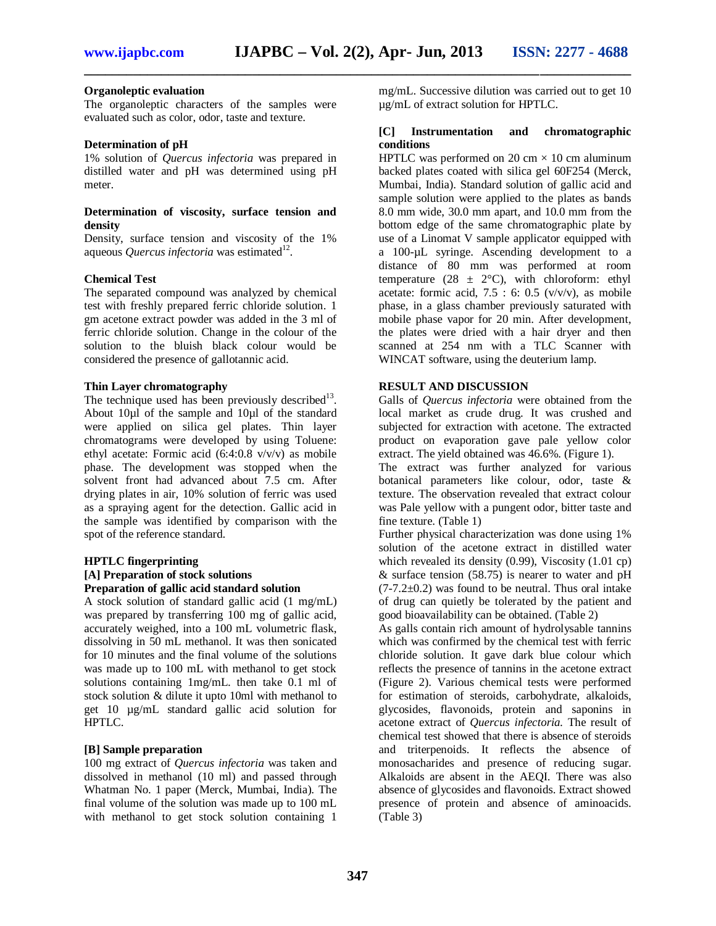**\_\_\_\_\_\_\_\_\_\_\_\_\_\_\_\_\_\_\_\_\_\_\_\_\_\_\_\_\_\_\_\_\_\_\_\_\_\_\_\_\_\_\_\_\_\_\_\_\_\_\_\_\_\_\_\_\_\_\_\_\_\_\_\_\_\_\_\_\_\_\_\_\_\_\_\_\_\_**

# **Organoleptic evaluation**

The organoleptic characters of the samples were evaluated such as color, odor, taste and texture.

#### **Determination of pH**

1% solution of *Quercus infectoria* was prepared in distilled water and pH was determined using pH meter.

### **Determination of viscosity, surface tension and density**

Density, surface tension and viscosity of the 1% aqueous *Quercus infectoria* was estimated<sup>12</sup>.

#### **Chemical Test**

The separated compound was analyzed by chemical test with freshly prepared ferric chloride solution. 1 gm acetone extract powder was added in the 3 ml of ferric chloride solution. Change in the colour of the solution to the bluish black colour would be considered the presence of gallotannic acid.

## **Thin Layer chromatography**

The technique used has been previously described<sup>13</sup>. About 10µl of the sample and 10µl of the standard were applied on silica gel plates. Thin layer chromatograms were developed by using Toluene: ethyl acetate: Formic acid (6:4:0.8 v/v/v) as mobile phase. The development was stopped when the solvent front had advanced about 7.5 cm. After drying plates in air, 10% solution of ferric was used as a spraying agent for the detection. Gallic acid in the sample was identified by comparison with the spot of the reference standard.

## **HPTLC fingerprinting [A] Preparation of stock solutions Preparation of gallic acid standard solution**

A stock solution of standard gallic acid (1 mg/mL) was prepared by transferring 100 mg of gallic acid, accurately weighed, into a 100 mL volumetric flask, dissolving in 50 mL methanol. It was then sonicated for 10 minutes and the final volume of the solutions was made up to 100 mL with methanol to get stock solutions containing 1mg/mL. then take 0.1 ml of stock solution & dilute it upto 10ml with methanol to get 10 µg/mL standard gallic acid solution for HPTLC.

#### **[B] Sample preparation**

100 mg extract of *Quercus infectoria* was taken and dissolved in methanol (10 ml) and passed through Whatman No. 1 paper (Merck, Mumbai, India). The final volume of the solution was made up to 100 mL with methanol to get stock solution containing 1

mg/mL. Successive dilution was carried out to get 10 µg/mL of extract solution for HPTLC.

# **[C] Instrumentation and chromatographic conditions**

HPTLC was performed on  $20 \text{ cm} \times 10 \text{ cm}$  aluminum backed plates coated with silica gel 60F254 (Merck, Mumbai, India). Standard solution of gallic acid and sample solution were applied to the plates as bands 8.0 mm wide, 30.0 mm apart, and 10.0 mm from the bottom edge of the same chromatographic plate by use of a Linomat V sample applicator equipped with a 100-µL syringe. Ascending development to a distance of 80 mm was performed at room temperature (28  $\pm$  2°C), with chloroform: ethyl acetate: formic acid,  $7.5 : 6: 0.5$  (v/v/v), as mobile phase, in a glass chamber previously saturated with mobile phase vapor for 20 min. After development, the plates were dried with a hair dryer and then scanned at 254 nm with a TLC Scanner with WINCAT software, using the deuterium lamp.

#### **RESULT AND DISCUSSION**

Galls of *Quercus infectoria* were obtained from the local market as crude drug. It was crushed and subjected for extraction with acetone. The extracted product on evaporation gave pale yellow color extract. The yield obtained was 46.6%. (Figure 1).

The extract was further analyzed for various botanical parameters like colour, odor, taste & texture. The observation revealed that extract colour was Pale yellow with a pungent odor, bitter taste and fine texture. (Table 1)

Further physical characterization was done using 1% solution of the acetone extract in distilled water which revealed its density  $(0.99)$ , Viscosity  $(1.01 \text{ cp})$ & surface tension (58.75) is nearer to water and pH  $(7-7.2\pm0.2)$  was found to be neutral. Thus oral intake of drug can quietly be tolerated by the patient and good bioavailability can be obtained. (Table 2)

As galls contain rich amount of hydrolysable tannins which was confirmed by the chemical test with ferric chloride solution. It gave dark blue colour which reflects the presence of tannins in the acetone extract (Figure 2). Various chemical tests were performed for estimation of steroids, carbohydrate, alkaloids, glycosides, flavonoids, protein and saponins in acetone extract of *Quercus infectoria.* The result of chemical test showed that there is absence of steroids and triterpenoids. It reflects the absence of monosacharides and presence of reducing sugar. Alkaloids are absent in the AEQI. There was also absence of glycosides and flavonoids. Extract showed presence of protein and absence of aminoacids. (Table 3)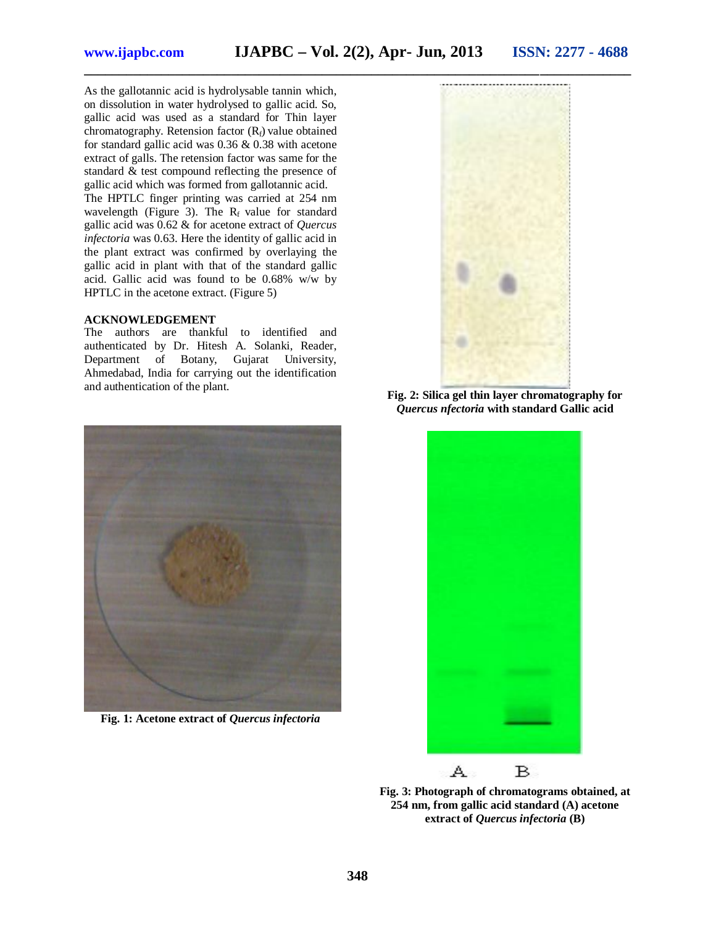As the gallotannic acid is hydrolysable tannin which, on dissolution in water hydrolysed to gallic acid. So, gallic acid was used as a standard for Thin layer chromatography. Retension factor  $(R_f)$  value obtained for standard gallic acid was 0.36 & 0.38 with acetone extract of galls. The retension factor was same for the standard & test compound reflecting the presence of gallic acid which was formed from gallotannic acid.

The HPTLC finger printing was carried at 254 nm wavelength (Figure 3). The  $R_f$  value for standard gallic acid was 0.62 & for acetone extract of *Quercus infectoria* was 0.63. Here the identity of gallic acid in the plant extract was confirmed by overlaying the gallic acid in plant with that of the standard gallic acid. Gallic acid was found to be 0.68% w/w by HPTLC in the acetone extract. (Figure 5)

## **ACKNOWLEDGEMENT**

The authors are thankful to identified and authenticated by Dr. Hitesh A. Solanki, Reader, Department of Botany, Gujarat University, Ahmedabad, India for carrying out the identification and authentication of the plant.



**Fig. 2: Silica gel thin layer chromatography for**  *Quercus nfectoria* **with standard Gallic acid**



**Fig. 1: Acetone extract of** *Quercus infectoria*



**Fig. 3: Photograph of chromatograms obtained, at 254 nm, from gallic acid standard (A) acetone extract of** *Quercus infectoria* **(B)**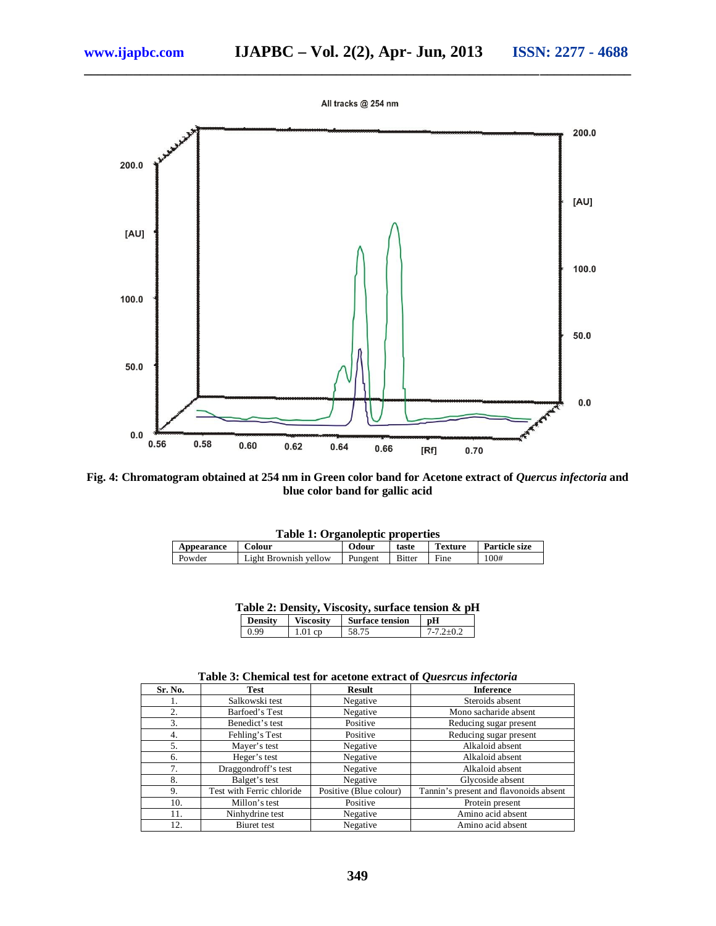

**\_\_\_\_\_\_\_\_\_\_\_\_\_\_\_\_\_\_\_\_\_\_\_\_\_\_\_\_\_\_\_\_\_\_\_\_\_\_\_\_\_\_\_\_\_\_\_\_\_\_\_\_\_\_\_\_\_\_\_\_\_\_\_\_\_\_\_\_\_\_\_\_\_\_\_\_\_\_**



**Fig. 4: Chromatogram obtained at 254 nm in Green color band for Acetone extract of** *Quercus infectoria* **and blue color band for gallic acid**

| <b>Table 1: Organoleptic properties</b> |                       |         |               |                |                      |
|-----------------------------------------|-----------------------|---------|---------------|----------------|----------------------|
| Appearance                              | ~olour                | Odour   | taste         | <b>Texture</b> | <b>Particle size</b> |
| Powder                                  | Light Brownish vellow | Pungent | <b>Bitter</b> | Fine           | 100#                 |

| Table 2: Density, Viscosity, surface tension & pH |                |                  |                        |                 |  |  |  |
|---------------------------------------------------|----------------|------------------|------------------------|-----------------|--|--|--|
|                                                   | <b>Density</b> | <b>Viscosity</b> | <b>Surface tension</b> | l nH            |  |  |  |
|                                                   | 0.99           | $1.01$ cp        | 58.75                  | $7 - 7.2 + 0.2$ |  |  |  |

|  | Table 3: Chemical test for acetone extract of Quesrcus infectoria |  |  |  |  |  |  |
|--|-------------------------------------------------------------------|--|--|--|--|--|--|
|--|-------------------------------------------------------------------|--|--|--|--|--|--|

| Sr. No. | Test                      | <b>Result</b>          | <b>Inference</b>                       |  |  |  |  |
|---------|---------------------------|------------------------|----------------------------------------|--|--|--|--|
| 1.      | Salkowski test            | Negative               | Steroids absent                        |  |  |  |  |
| 2.      | Barfoed's Test            | Negative               | Mono sacharide absent                  |  |  |  |  |
| 3.      | Benedict's test           | Positive               | Reducing sugar present                 |  |  |  |  |
| 4.      | Fehling's Test            | Positive               | Reducing sugar present                 |  |  |  |  |
| 5.      | Mayer's test              | Negative               | Alkaloid absent                        |  |  |  |  |
| 6.      | Heger's test              | Negative               | Alkaloid absent                        |  |  |  |  |
| 7.      | Draggondroff's test       | Negative               | Alkaloid absent                        |  |  |  |  |
| 8.      | Balget's test             | Negative               | Glycoside absent                       |  |  |  |  |
| 9.      | Test with Ferric chloride | Positive (Blue colour) | Tannin's present and flavonoids absent |  |  |  |  |
| 10.     | Millon's test             | Positive               | Protein present                        |  |  |  |  |
| 11.     | Ninhydrine test           | Negative               | Amino acid absent                      |  |  |  |  |
| 12.     | Biuret test               | Negative               | Amino acid absent                      |  |  |  |  |